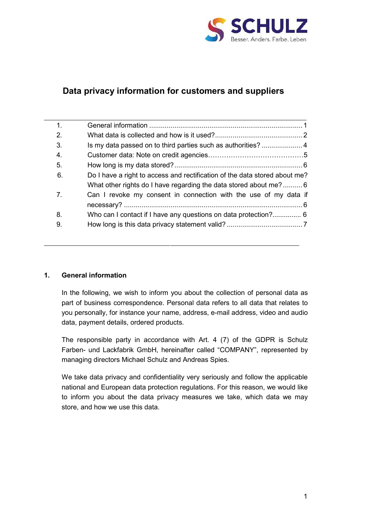

# **Data privacy information for customers and suppliers**

| 1.             |                                                                            |
|----------------|----------------------------------------------------------------------------|
| 2.             |                                                                            |
| 3.             |                                                                            |
| 4.             |                                                                            |
| 5.             |                                                                            |
| 6.             | Do I have a right to access and rectification of the data stored about me? |
|                | What other rights do I have regarding the data stored about me? 6          |
| 7 <sub>1</sub> | Can I revoke my consent in connection with the use of my data if           |
|                |                                                                            |
| 8.             | Who can I contact if I have any questions on data protection? 6            |
| 9.             |                                                                            |

## <span id="page-0-0"></span>**1. General information**

In the following, we wish to inform you about the collection of personal data as part of business correspondence. Personal data refers to all data that relates to you personally, for instance your name, address, e-mail address, video and audio data, payment details, ordered products.

The responsible party in accordance with Art. 4 (7) of the GDPR is Schulz Farben- und Lackfabrik GmbH, hereinafter called "COMPANY", represented by managing directors Michael Schulz and Andreas Spies.

We take data privacy and confidentiality very seriously and follow the applicable national and European data protection regulations. For this reason, we would like to inform you about the data privacy measures we take, which data we may store, and how we use this data.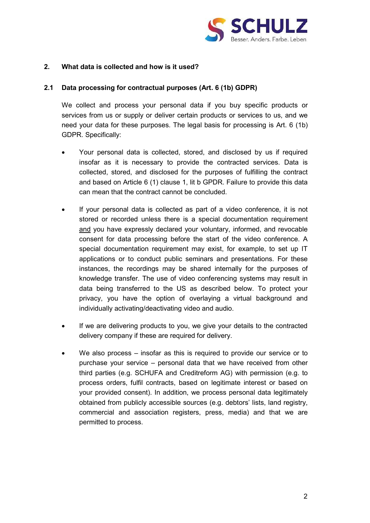

#### <span id="page-1-0"></span>**2. What data is collected and how is it used?**

#### **2.1 Data processing for contractual purposes (Art. 6 (1b) GDPR)**

We collect and process your personal data if you buy specific products or services from us or supply or deliver certain products or services to us, and we need your data for these purposes. The legal basis for processing is Art. 6 (1b) GDPR. Specifically:

- Your personal data is collected, stored, and disclosed by us if required insofar as it is necessary to provide the contracted services. Data is collected, stored, and disclosed for the purposes of fulfilling the contract and based on Article 6 (1) clause 1, lit b GPDR. Failure to provide this data can mean that the contract cannot be concluded.
- If your personal data is collected as part of a video conference, it is not stored or recorded unless there is a special documentation requirement and you have expressly declared your voluntary, informed, and revocable consent for data processing before the start of the video conference. A special documentation requirement may exist, for example, to set up IT applications or to conduct public seminars and presentations. For these instances, the recordings may be shared internally for the purposes of knowledge transfer. The use of video conferencing systems may result in data being transferred to the US as described below. To protect your privacy, you have the option of overlaying a virtual background and individually activating/deactivating video and audio.
- If we are delivering products to you, we give your details to the contracted delivery company if these are required for delivery.
- We also process insofar as this is required to provide our service or to purchase your service – personal data that we have received from other third parties (e.g. SCHUFA and Creditreform AG) with permission (e.g. to process orders, fulfil contracts, based on legitimate interest or based on your provided consent). In addition, we process personal data legitimately obtained from publicly accessible sources (e.g. debtors' lists, land registry, commercial and association registers, press, media) and that we are permitted to process.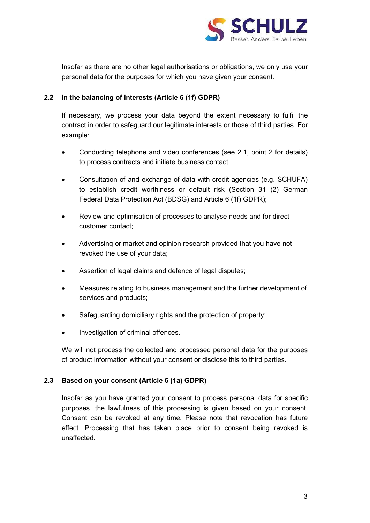

Insofar as there are no other legal authorisations or obligations, we only use your personal data for the purposes for which you have given your consent.

### **2.2 In the balancing of interests (Article 6 (1f) GDPR)**

If necessary, we process your data beyond the extent necessary to fulfil the contract in order to safeguard our legitimate interests or those of third parties. For example:

- Conducting telephone and video conferences (see 2.1, point 2 for details) to process contracts and initiate business contact;
- Consultation of and exchange of data with credit agencies (e.g. SCHUFA) to establish credit worthiness or default risk (Section 31 (2) German Federal Data Protection Act (BDSG) and Article 6 (1f) GDPR);
- Review and optimisation of processes to analyse needs and for direct customer contact;
- Advertising or market and opinion research provided that you have not revoked the use of your data;
- Assertion of legal claims and defence of legal disputes;
- Measures relating to business management and the further development of services and products;
- Safeguarding domiciliary rights and the protection of property;
- Investigation of criminal offences.

We will not process the collected and processed personal data for the purposes of product information without your consent or disclose this to third parties.

#### **2.3 Based on your consent (Article 6 (1a) GDPR)**

Insofar as you have granted your consent to process personal data for specific purposes, the lawfulness of this processing is given based on your consent. Consent can be revoked at any time. Please note that revocation has future effect. Processing that has taken place prior to consent being revoked is unaffected.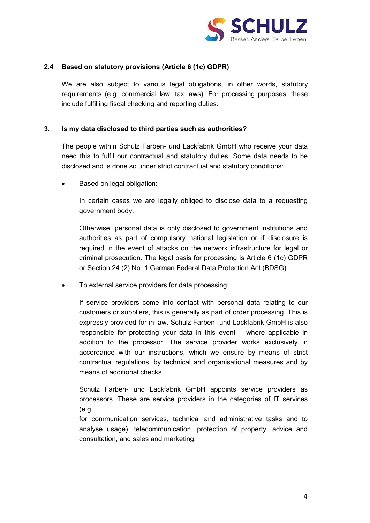

#### **2.4 Based on statutory provisions (Article 6 (1c) GDPR)**

We are also subject to various legal obligations, in other words, statutory requirements (e.g. commercial law, tax laws). For processing purposes, these include fulfilling fiscal checking and reporting duties.

#### <span id="page-3-0"></span>**3. Is my data disclosed to third parties such as authorities?**

The people within Schulz Farben- und Lackfabrik GmbH who receive your data need this to fulfil our contractual and statutory duties. Some data needs to be disclosed and is done so under strict contractual and statutory conditions:

• Based on legal obligation:

In certain cases we are legally obliged to disclose data to a requesting government body.

Otherwise, personal data is only disclosed to government institutions and authorities as part of compulsory national legislation or if disclosure is required in the event of attacks on the network infrastructure for legal or criminal prosecution. The legal basis for processing is Article 6 (1c) GDPR or Section 24 (2) No. 1 German Federal Data Protection Act (BDSG).

• To external service providers for data processing:

If service providers come into contact with personal data relating to our customers or suppliers, this is generally as part of order processing. This is expressly provided for in law. Schulz Farben- und Lackfabrik GmbH is also responsible for protecting your data in this event – where applicable in addition to the processor. The service provider works exclusively in accordance with our instructions, which we ensure by means of strict contractual regulations, by technical and organisational measures and by means of additional checks.

Schulz Farben- und Lackfabrik GmbH appoints service providers as processors. These are service providers in the categories of IT services (e.g.

for communication services, technical and administrative tasks and to analyse usage), telecommunication, protection of property, advice and consultation, and sales and marketing.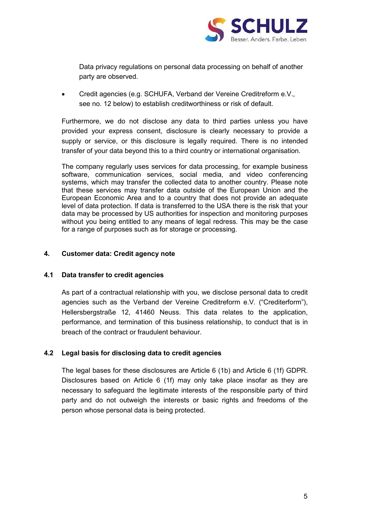

Data privacy regulations on personal data processing on behalf of another party are observed.

• Credit agencies (e.g. SCHUFA, Verband der Vereine Creditreform e.V., see no. 12 below) to establish creditworthiness or risk of default.

Furthermore, we do not disclose any data to third parties unless you have provided your express consent, disclosure is clearly necessary to provide a supply or service, or this disclosure is legally required. There is no intended transfer of your data beyond this to a third country or international organisation.

The company regularly uses services for data processing, for example business software, communication services, social media, and video conferencing systems, which may transfer the collected data to another country. Please note that these services may transfer data outside of the European Union and the European Economic Area and to a country that does not provide an adequate level of data protection. If data is transferred to the USA there is the risk that your data may be processed by US authorities for inspection and monitoring purposes without you being entitled to any means of legal redress. This may be the case for a range of purposes such as for storage or processing.

#### **4. Customer data: Credit agency note**

#### **4.1 Data transfer to credit agencies**

As part of a contractual relationship with you, we disclose personal data to credit agencies such as the Verband der Vereine Creditreform e.V. ("Crediterform"), Hellersbergstraße 12, 41460 Neuss. This data relates to the application, performance, and termination of this business relationship, to conduct that is in breach of the contract or fraudulent behaviour.

#### **4.2 Legal basis for disclosing data to credit agencies**

The legal bases for these disclosures are Article 6 (1b) and Article 6 (1f) GDPR. Disclosures based on Article 6 (1f) may only take place insofar as they are necessary to safeguard the legitimate interests of the responsible party of third party and do not outweigh the interests or basic rights and freedoms of the person whose personal data is being protected.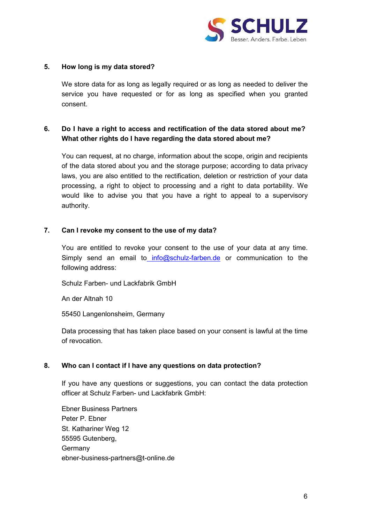

#### <span id="page-5-0"></span>**5. How long is my data stored?**

We store data for as long as legally required or as long as needed to deliver the service you have requested or for as long as specified when you granted consent.

## <span id="page-5-1"></span>**6. Do I have a right to access and rectification of the data stored about me? What other rights do I have regarding the data stored about me?**

You can request, at no charge, information about the scope, origin and recipients of the data stored about you and the storage purpose; according to data privacy laws, you are also entitled to the rectification, deletion or restriction of your data processing, a right to object to processing and a right to data portability. We would like to advise you that you have a right to appeal to a supervisory authority.

#### <span id="page-5-2"></span>**7. Can I revoke my consent to the use of my data?**

You are entitled to revoke your consent to the use of your data at any time. Simply send an email to [info@schulz-farben.de](mailto:info@schulz-farben.de) or communication to the following address:

Schulz Farben- und Lackfabrik GmbH

An der Altnah 10

55450 Langenlonsheim, Germany

Data processing that has taken place based on your consent is lawful at the time of revocation.

#### **8. Who can I contact if I have any questions on data protection?**

If you have any questions or suggestions, you can contact the data protection officer at Schulz Farben- und Lackfabrik GmbH:

Ebner Business Partners Peter P. Ebner St. Kathariner Weg 12 55595 Gutenberg, **Germany** [ebner-business-partners@t-online.de](mailto:ebner-business-partners@t-online.de)